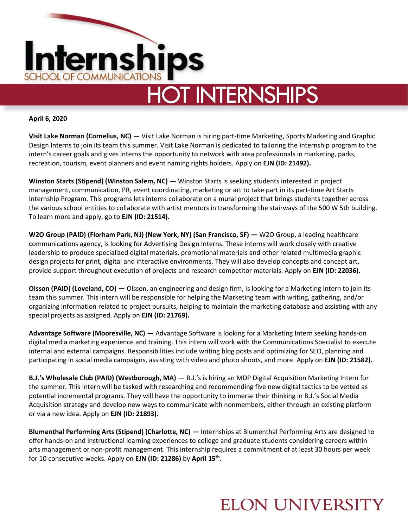

**April 6, 2020**

**Visit Lake Norman (Cornelius, NC) —** Visit Lake Norman is hiring part-time Marketing, Sports Marketing and Graphic Design Interns to join its team this summer. Visit Lake Norman is dedicated to tailoring the internship program to the intern's career goals and gives interns the opportunity to network with area professionals in marketing, parks, recreation, tourism, event planners and event naming rights holders. Apply on **EJN (ID: 21492).** 

**Winston Starts (Stipend) (Winston Salem, NC) —** Winston Starts is seeking students interested in project management, communication, PR, event coordinating, marketing or art to take part in its part-time Art Starts Internship Program. This programs lets interns collaborate on a mural project that brings students together across the various school entities to collaborate with artist mentors in transforming the stairways of the 500 W 5th building. To learn more and apply, go to **EJN (ID: 21514).** 

**W2O Group (PAID) (Florham Park, NJ) (New York, NY) (San Francisco, SF)**  $-$  **W2O Group, a leading healthcare** communications agency, is looking for Advertising Design Interns. These interns will work closely with creative leadership to produce specialized digital materials, promotional materials and other related multimedia graphic design projects for print, digital and interactive environments. They will also develop concepts and concept art, provide support throughout execution of projects and research competitor materials. Apply on **EJN (ID: 22036).**

**Olsson (PAID) (Loveland, CO) —** Olsson, an engineering and design firm, is looking for a Marketing Intern to join its team this summer. This intern will be responsible for helping the Marketing team with writing, gathering, and/or organizing information related to project pursuits, helping to maintain the marketing database and assisting with any special projects as assigned. Apply on **EJN (ID: 21769).** 

**Advantage Software (Mooresville, NC) —** Advantage Software is looking for a Marketing Intern seeking hands-on digital media marketing experience and training. This intern will work with the Communications Specialist to execute internal and external campaigns. Responsibilities include writing blog posts and optimizing for SEO, planning and participating in social media campaigns, assisting with video and photo shoots, and more. Apply on **EJN (ID: 21582).**

**B.J.'s Wholesale Club (PAID) (Westborough, MA) —** B.J.'s is hiring an MDP Digital Acquisition Marketing Intern for the summer. This intern will be tasked with researching and recommending five new digital tactics to be vetted as potential incremental programs. They will have the opportunity to immerse their thinking in B.J.'s Social Media Acquisition strategy and develop new ways to communicate with nonmembers, either through an existing platform or via a new idea. Apply on **EJN (ID: 21893).** 

**Blumenthal Performing Arts (Stipend) (Charlotte, NC) —** Internships at Blumenthal Performing Arts are designed to offer hands-on and instructional learning experiences to college and graduate students considering careers within arts management or non-profit management. This internship requires a commitment of at least 30 hours per week for 10 consecutive weeks. Apply on **EJN (ID: 21286)** by **April 15th .** 

## **ELON UNIVERSITY**